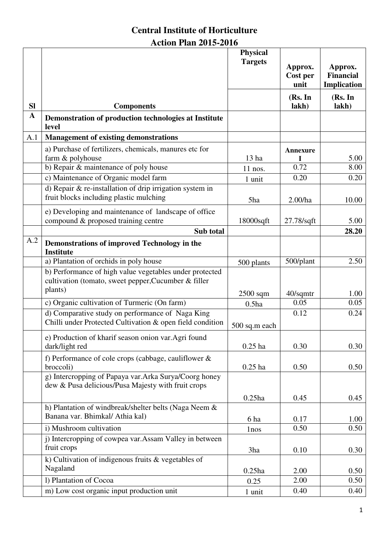# **Central Institute of Horticulture Action Plan 2015-2016**

|              |                                                                                                                            | <b>Physical</b><br><b>Targets</b> | Approx.<br>Cost per<br>unit | Approx.<br><b>Financial</b><br>Implication |
|--------------|----------------------------------------------------------------------------------------------------------------------------|-----------------------------------|-----------------------------|--------------------------------------------|
| <b>SI</b>    |                                                                                                                            |                                   | (Rs. In<br>lakh)            | (Rs. In<br>lakh)                           |
| $\mathbf{A}$ | <b>Components</b><br>Demonstration of production technologies at Institute<br>level                                        |                                   |                             |                                            |
| A.1          | <b>Management of existing demonstrations</b>                                                                               |                                   |                             |                                            |
|              | a) Purchase of fertilizers, chemicals, manures etc for<br>farm & polyhouse                                                 | 13 ha                             | Annexure                    | 5.00                                       |
|              | b) Repair & maintenance of poly house                                                                                      | $11$ nos.                         | 0.72                        | 8.00                                       |
|              | c) Maintenance of Organic model farm                                                                                       | 1 unit                            | 0.20                        | 0.20                                       |
|              | d) Repair $\&$ re-installation of drip irrigation system in<br>fruit blocks including plastic mulching                     | 5ha                               | 2.00/ha                     | 10.00                                      |
|              | e) Developing and maintenance of landscape of office<br>compound & proposed training centre                                | 18000sqft                         | 27.78/sqft                  | 5.00                                       |
|              | Sub total                                                                                                                  |                                   |                             | 28.20                                      |
| A.2          | Demonstrations of improved Technology in the<br><b>Institute</b>                                                           |                                   |                             |                                            |
|              | a) Plantation of orchids in poly house                                                                                     | 500 plants                        | 500/plant                   | 2.50                                       |
|              | b) Performance of high value vegetables under protected<br>cultivation (tomato, sweet pepper, Cucumber & filler<br>plants) |                                   |                             | 1.00                                       |
|              | c) Organic cultivation of Turmeric (On farm)                                                                               | $2500$ sqm<br>$0.5$ ha            | $40$ /sqmtr<br>0.05         | 0.05                                       |
|              | d) Comparative study on performance of Naga King<br>Chilli under Protected Cultivation & open field condition              | 500 sq.m each                     | 0.12                        | 0.24                                       |
|              | e) Production of kharif season onion var.Agri found<br>dark/light red                                                      | $0.25$ ha                         | 0.30                        | 0.30                                       |
|              | f) Performance of cole crops (cabbage, cauliflower $\&$<br>broccoli)                                                       | $0.25$ ha                         | 0.50                        | 0.50                                       |
|              | g) Intercropping of Papaya var.Arka Surya/Coorg honey<br>dew & Pusa delicious/Pusa Majesty with fruit crops                |                                   |                             |                                            |
|              |                                                                                                                            | $0.25$ ha                         | 0.45                        | 0.45                                       |
|              | h) Plantation of windbreak/shelter belts (Naga Neem &<br>Banana var. Bhimkal/ Athia kal)                                   | 6 ha                              | 0.17                        | 1.00                                       |
|              | i) Mushroom cultivation                                                                                                    | 1 <sub>nos</sub>                  | 0.50                        | 0.50                                       |
|              | j) Intercropping of cowpea var. Assam Valley in between<br>fruit crops                                                     | 3ha                               | 0.10                        | 0.30                                       |
|              | k) Cultivation of indigenous fruits & vegetables of<br>Nagaland                                                            | $0.25$ ha                         | 2.00                        | 0.50                                       |
|              | 1) Plantation of Cocoa                                                                                                     | 0.25                              | 2.00                        | 0.50                                       |
|              | m) Low cost organic input production unit                                                                                  | 1 unit                            | 0.40                        | 0.40                                       |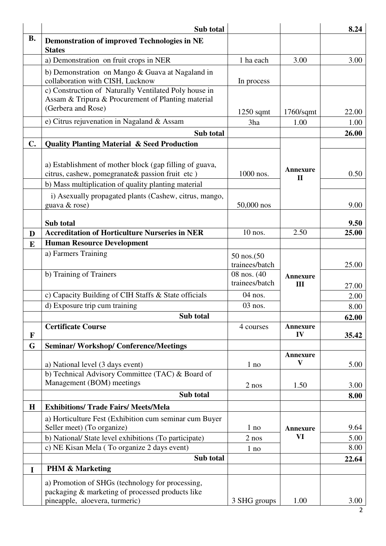|             | Sub total                                                                                                                                                         |                                |                                 | 8.24  |
|-------------|-------------------------------------------------------------------------------------------------------------------------------------------------------------------|--------------------------------|---------------------------------|-------|
| <b>B.</b>   | <b>Demonstration of improved Technologies in NE</b><br><b>States</b>                                                                                              |                                |                                 |       |
|             | a) Demonstration on fruit crops in NER                                                                                                                            | 1 ha each                      | 3.00                            | 3.00  |
|             | b) Demonstration on Mango & Guava at Nagaland in<br>collaboration with CISH, Lucknow                                                                              | In process                     |                                 |       |
|             | c) Construction of Naturally Ventilated Poly house in<br>Assam & Tripura & Procurement of Planting material<br>(Gerbera and Rose)                                 | $1250$ sqmt                    | $1760$ /sqmt                    | 22.00 |
|             | e) Citrus rejuvenation in Nagaland & Assam                                                                                                                        | 3ha                            | 1.00                            | 1.00  |
|             | Sub total                                                                                                                                                         |                                |                                 | 26.00 |
| C.          | <b>Quality Planting Material &amp; Seed Production</b>                                                                                                            |                                |                                 |       |
|             | a) Establishment of mother block (gap filling of guava,<br>citrus, cashew, pomegranate& passion fruit etc)<br>b) Mass multiplication of quality planting material | 1000 nos.                      | <b>Annexure</b><br>$\mathbf{I}$ | 0.50  |
|             | i) Asexually propagated plants (Cashew, citrus, mango,<br>guava & rose)                                                                                           | 50,000 nos                     |                                 | 9.00  |
|             | Sub total                                                                                                                                                         |                                |                                 | 9.50  |
| D           | <b>Accreditation of Horticulture Nurseries in NER</b>                                                                                                             | 10 nos.                        | 2.50                            | 25.00 |
| E           | <b>Human Resource Development</b>                                                                                                                                 |                                |                                 |       |
|             | a) Farmers Training                                                                                                                                               | 50 nos.(50<br>trainees/batch   |                                 | 25.00 |
|             | b) Training of Trainers                                                                                                                                           | 08 nos. (40)<br>trainees/batch | <b>Annexure</b><br>III          | 27.00 |
|             | c) Capacity Building of CIH Staffs & State officials                                                                                                              | 04 nos.                        |                                 | 2.00  |
|             | d) Exposure trip cum training                                                                                                                                     | 03 nos.                        |                                 | 8.00  |
|             | Sub total                                                                                                                                                         |                                |                                 | 62.00 |
| ${\bf F}$   | <b>Certificate Course</b>                                                                                                                                         | 4 courses                      | <b>Annexure</b><br>IV           | 35.42 |
| G           | <b>Seminar/Workshop/Conference/Meetings</b>                                                                                                                       |                                |                                 |       |
|             | a) National level (3 days event)                                                                                                                                  | 1 no                           | <b>Annexure</b><br>V            | 5.00  |
|             | b) Technical Advisory Committee (TAC) & Board of<br>Management (BOM) meetings                                                                                     | $2$ nos                        | 1.50                            | 3.00  |
|             | Sub total                                                                                                                                                         |                                |                                 | 8.00  |
| H           | <b>Exhibitions/ Trade Fairs/ Meets/Mela</b>                                                                                                                       |                                |                                 |       |
|             | a) Horticulture Fest (Exhibition cum seminar cum Buyer<br>Seller meet) (To organize)                                                                              | 1 no                           | <b>Annexure</b>                 | 9.64  |
|             | b) National/ State level exhibitions (To participate)                                                                                                             | $2$ nos                        | VI                              | 5.00  |
|             | c) NE Kisan Mela (To organize 2 days event)                                                                                                                       | 1 no                           |                                 | 8.00  |
|             | Sub total                                                                                                                                                         |                                |                                 | 22.64 |
| $\mathbf I$ | <b>PHM &amp; Marketing</b>                                                                                                                                        |                                |                                 |       |
|             | a) Promotion of SHGs (technology for processing,<br>packaging & marketing of processed products like                                                              |                                |                                 |       |
|             | pineapple, aloevera, turmeric)                                                                                                                                    | 3 SHG groups                   | 1.00                            | 3.00  |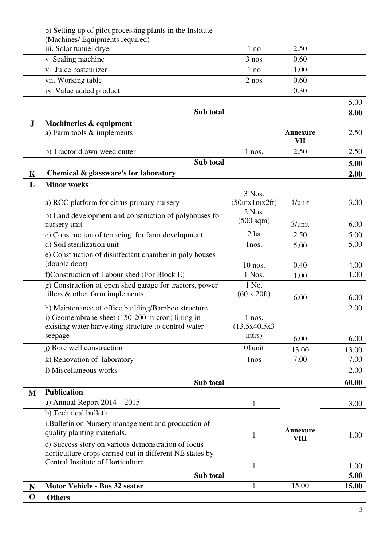|              | b) Setting up of pilot processing plants in the Institute                                                      |                        |                         |               |
|--------------|----------------------------------------------------------------------------------------------------------------|------------------------|-------------------------|---------------|
|              | (Machines/ Equipments required)                                                                                |                        |                         |               |
|              | iii. Solar tunnel dryer                                                                                        | 1 no                   | 2.50                    |               |
|              | v. Sealing machine                                                                                             | $3$ nos                | 0.60                    |               |
|              | vi. Juice pasteurizer                                                                                          | 1 no                   | 1.00                    |               |
|              | vii. Working table                                                                                             | 2 nos                  | 0.60                    |               |
|              | ix. Value added product                                                                                        |                        | 0.30                    |               |
|              |                                                                                                                |                        |                         | 5.00          |
|              | Sub total                                                                                                      |                        |                         | 8.00          |
| $\bf J$      | Machineries & equipment                                                                                        |                        | Annexure                |               |
|              | a) Farm tools & implements                                                                                     |                        | VII                     | 2.50          |
|              | b) Tractor drawn weed cutter                                                                                   | 1 nos.                 | 2.50                    | 2.50          |
|              | Sub total                                                                                                      |                        |                         | 5.00          |
| $\mathbf K$  | Chemical & glassware's for laboratory                                                                          |                        |                         | 2.00          |
| L            | <b>Minor works</b>                                                                                             |                        |                         |               |
|              |                                                                                                                | 3 Nos.                 |                         |               |
|              | a) RCC platform for citrus primary nursery                                                                     | (50mx1mx2ft)<br>2 Nos. | 1/unit                  | 3.00          |
|              | b) Land development and construction of polyhouses for                                                         | $(500 \text{ sqm})$    |                         |               |
|              | nursery unit                                                                                                   |                        | 3/unit                  | 6.00          |
|              | c) Construction of terracing for farm development                                                              | 2 <sub>ha</sub>        | 2.50                    | 5.00          |
|              | d) Soil sterilization unit                                                                                     | lnos.                  | 5.00                    | 5.00          |
|              | e) Construction of disinfectant chamber in poly houses<br>(double door)                                        |                        |                         |               |
|              | f)Construction of Labour shed (For Block E)                                                                    | $10$ nos.<br>1 Nos.    | 0.40<br>1.00            | 4.00<br>1.00  |
|              | g) Construction of open shed garage for tractors, power                                                        | 1 No.                  |                         |               |
|              | tillers & other farm implements.                                                                               | (60 x 20 ft)           |                         |               |
|              |                                                                                                                |                        | 6.00                    | 6.00          |
|              | h) Maintenance of office building/Bamboo structure<br>i) Geomembrane sheet (150-200 micron) lining in          | $1$ nos.               |                         | 2.00          |
|              | existing water harvesting structure to control water                                                           | (13.5x40.5x3           |                         |               |
|              | seepage                                                                                                        | mtrs)                  | 6.00                    | 6.00          |
|              | <i>i</i> ) Bore well construction                                                                              | 01unit                 |                         |               |
|              | k) Renovation of laboratory                                                                                    | 1 <sub>nos</sub>       | 13.00<br>7.00           | 13.00<br>7.00 |
|              | 1) Miscellaneous works                                                                                         |                        |                         | 2.00          |
|              |                                                                                                                |                        |                         |               |
|              | Sub total<br><b>Publication</b>                                                                                |                        |                         | 60.00         |
| $\mathbf{M}$ | a) Annual Report $2014 - 2015$                                                                                 |                        |                         |               |
|              | b) Technical bulletin                                                                                          | 1                      |                         | 3.00          |
|              | i.Bulletin on Nursery management and production of                                                             |                        |                         |               |
|              | quality planting materials.                                                                                    | 1                      | Annexure<br><b>VIII</b> | 1.00          |
|              | c) Success story on various demonstration of focus<br>horticulture crops carried out in different NE states by |                        |                         |               |
|              | Central Institute of Horticulture                                                                              | 1                      |                         | 1.00          |
|              | Sub total                                                                                                      |                        |                         | 5.00          |
| $\mathbf N$  | Motor Vehicle - Bus 32 seater                                                                                  | $\mathbf{1}$           | 15.00                   | 15.00         |
| $\mathbf 0$  | <b>Others</b>                                                                                                  |                        |                         |               |
|              |                                                                                                                |                        |                         |               |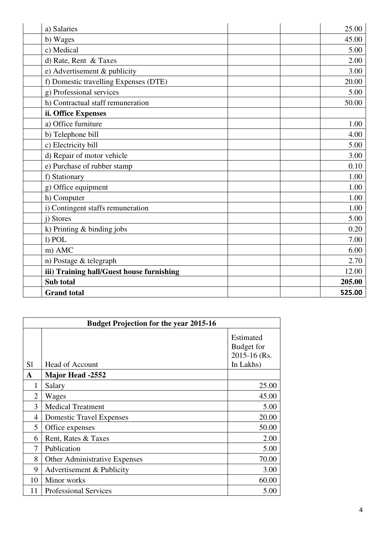| a) Salaries                               | 25.00  |
|-------------------------------------------|--------|
| b) Wages                                  | 45.00  |
| c) Medical                                | 5.00   |
| d) Rate, Rent & Taxes                     | 2.00   |
| e) Advertisement & publicity              | 3.00   |
| f) Domestic travelling Expenses (DTE)     | 20.00  |
| g) Professional services                  | 5.00   |
| h) Contractual staff remuneration         | 50.00  |
| ii. Office Expenses                       |        |
| a) Office furniture                       | 1.00   |
| b) Telephone bill                         | 4.00   |
| c) Electricity bill                       | 5.00   |
| d) Repair of motor vehicle                | 3.00   |
| e) Purchase of rubber stamp               | 0.10   |
| f) Stationary                             | 1.00   |
| g) Office equipment                       | 1.00   |
| h) Computer                               | 1.00   |
| i) Contingent staffs remuneration         | 1.00   |
| i) Stores                                 | 5.00   |
| k) Printing & binding jobs                | 0.20   |
| l) POL                                    | 7.00   |
| m) AMC                                    | 6.00   |
| n) Postage & telegraph                    | 2.70   |
| iii) Training hall/Guest house furnishing | 12.00  |
| Sub total                                 | 205.00 |
| <b>Grand</b> total                        | 525.00 |

| <b>Budget Projection for the year 2015-16</b> |                                      |                                                      |  |
|-----------------------------------------------|--------------------------------------|------------------------------------------------------|--|
| S <sub>1</sub>                                | <b>Head of Account</b>               | Estimated<br>Budget for<br>2015-16 (Rs.<br>In Lakhs) |  |
| A                                             | <b>Major Head -2552</b>              |                                                      |  |
| 1                                             | Salary                               | 25.00                                                |  |
| $\overline{2}$                                | Wages                                | 45.00                                                |  |
| 3                                             | <b>Medical Treatment</b>             | 5.00                                                 |  |
| 4                                             | <b>Domestic Travel Expenses</b>      | 20.00                                                |  |
| 5                                             | Office expenses                      | 50.00                                                |  |
| 6                                             | Rent, Rates & Taxes                  | 2.00                                                 |  |
| 7                                             | Publication                          | 5.00                                                 |  |
| 8                                             | <b>Other Administrative Expenses</b> | 70.00                                                |  |
| 9                                             | Advertisement & Publicity            | 3.00                                                 |  |
| 10                                            | Minor works                          | 60.00                                                |  |
| 11                                            | <b>Professional Services</b>         | 5.00                                                 |  |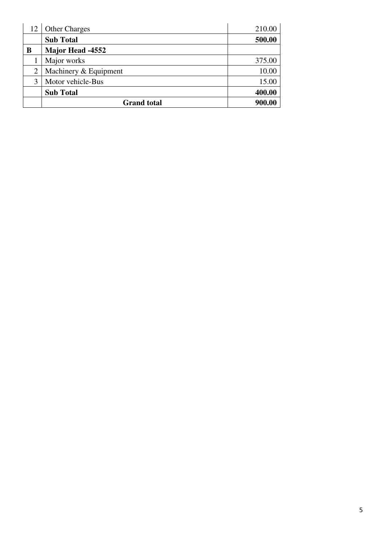| 12             | <b>Other Charges</b>    | 210.00 |
|----------------|-------------------------|--------|
|                | <b>Sub Total</b>        | 500.00 |
| B              | <b>Major Head -4552</b> |        |
|                | Major works             | 375.00 |
| $\overline{2}$ | Machinery & Equipment   | 10.00  |
| 3              | Motor vehicle-Bus       | 15.00  |
|                | <b>Sub Total</b>        | 400.00 |
|                | <b>Grand</b> total      | 900.00 |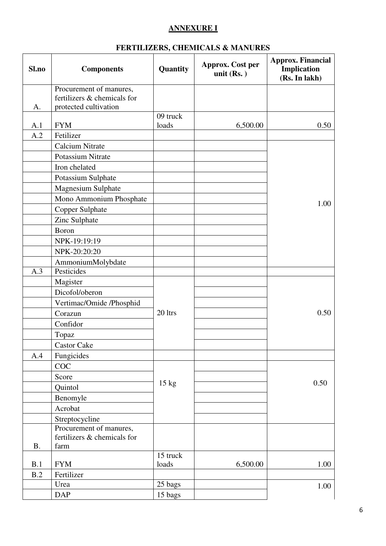## **ANNEXURE I**

## **FERTILIZERS, CHEMICALS & MANURES**

| Sl.no     | <b>Components</b>           | Quantity        | Approx. Cost per<br>unit $(Rs.)$ | <b>Approx. Financial</b><br>Implication<br>(Rs. In lakh) |
|-----------|-----------------------------|-----------------|----------------------------------|----------------------------------------------------------|
|           | Procurement of manures,     |                 |                                  |                                                          |
|           | fertilizers & chemicals for |                 |                                  |                                                          |
| A.        | protected cultivation       | 09 truck        |                                  |                                                          |
| A.1       | <b>FYM</b>                  | loads           | 6,500.00                         | 0.50                                                     |
| A.2       | Fetilizer                   |                 |                                  |                                                          |
|           | <b>Calcium Nitrate</b>      |                 |                                  |                                                          |
|           | Potassium Nitrate           |                 |                                  |                                                          |
|           | Iron chelated               |                 |                                  |                                                          |
|           | Potassium Sulphate          |                 |                                  |                                                          |
|           | Magnesium Sulphate          |                 |                                  |                                                          |
|           | Mono Ammonium Phosphate     |                 |                                  |                                                          |
|           | Copper Sulphate             |                 |                                  | 1.00                                                     |
|           | Zinc Sulphate               |                 |                                  |                                                          |
|           | Boron                       |                 |                                  |                                                          |
|           | NPK-19:19:19                |                 |                                  |                                                          |
|           | NPK-20:20:20                |                 |                                  |                                                          |
|           | AmmoniumMolybdate           |                 |                                  |                                                          |
| A.3       | Pesticides                  |                 |                                  |                                                          |
|           | Magister                    |                 |                                  |                                                          |
|           | Dicofol/oberon              |                 |                                  |                                                          |
|           | Vertimac/Omide /Phosphid    |                 |                                  |                                                          |
|           | Corazun                     | 20 ltrs         |                                  | 0.50                                                     |
|           | Confidor                    |                 |                                  |                                                          |
|           | Topaz                       |                 |                                  |                                                          |
|           | <b>Castor Cake</b>          |                 |                                  |                                                          |
| A.4       | Fungicides                  |                 |                                  |                                                          |
|           | COC                         |                 |                                  |                                                          |
|           | Score                       |                 |                                  |                                                          |
|           | Quintol                     | $15 \text{ kg}$ |                                  | 0.50                                                     |
|           | Benomyle                    |                 |                                  |                                                          |
|           | Acrobat                     |                 |                                  |                                                          |
|           | Streptocycline              |                 |                                  |                                                          |
|           | Procurement of manures,     |                 |                                  |                                                          |
|           | fertilizers & chemicals for |                 |                                  |                                                          |
| <b>B.</b> | farm                        | 15 truck        |                                  |                                                          |
| B.1       | <b>FYM</b>                  | loads           | 6,500.00                         | 1.00                                                     |
| B.2       | Fertilizer                  |                 |                                  |                                                          |
|           | Urea                        | 25 bags         |                                  | 1.00                                                     |
|           | <b>DAP</b>                  | 15 bags         |                                  |                                                          |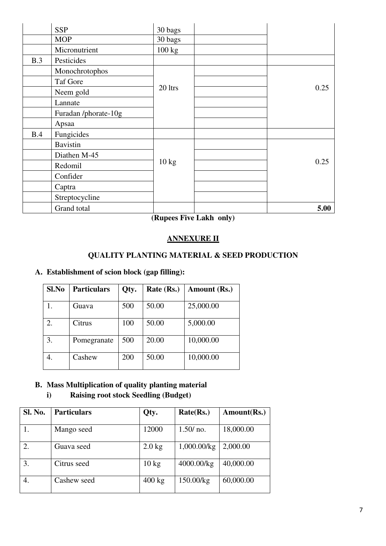|     | <b>SSP</b>           | 30 bags         |      |
|-----|----------------------|-----------------|------|
|     | <b>MOP</b>           | 30 bags         |      |
|     | Micronutrient        | 100 kg          |      |
| B.3 | Pesticides           |                 |      |
|     | Monochrotophos       |                 |      |
|     | <b>Taf Gore</b>      |                 |      |
|     | Neem gold            | 20 ltrs         | 0.25 |
|     | Lannate              |                 |      |
|     | Furadan /phorate-10g |                 |      |
|     | Apsaa                |                 |      |
| B.4 | Fungicides           |                 |      |
|     | <b>Bavistin</b>      |                 |      |
|     | Diathen M-45         |                 |      |
|     | Redomil              | $10 \text{ kg}$ | 0.25 |
|     | Confider             |                 |      |
|     | Captra               |                 |      |
|     | Streptocycline       |                 |      |
|     | Grand total          |                 | 5.00 |

**(Rupees Five Lakh only)** 

#### **ANNEXURE II**

## **QUALITY PLANTING MATERIAL & SEED PRODUCTION**

### **A. Establishment of scion block (gap filling):**

| Sl.No | <b>Particulars</b> | Qty. | Rate (Rs.) | Amount (Rs.) |
|-------|--------------------|------|------------|--------------|
|       | Guava              | 500  | 50.00      | 25,000.00    |
| 2.    | Citrus             | 100  | 50.00      | 5,000.00     |
| 3.    | Pomegranate        | 500  | 20.00      | 10,000.00    |
| 4.    | Cashew             | 200  | 50.00      | 10,000.00    |

#### **B. Mass Multiplication of quality planting material**

#### **i) Raising root stock Seedling (Budget)**

| <b>Sl. No.</b> | <b>Particulars</b> | Qty.             | Rate(Rs.)      | Amount(Rs.) |
|----------------|--------------------|------------------|----------------|-------------|
|                | Mango seed         | 12000            | 1.50/no.       | 18,000.00   |
|                | Guava seed         | $2.0$ kg         | $1,000.00$ /kg | 2,000.00    |
| 3.             | Citrus seed        | $10 \text{ kg}$  | 4000.00/kg     | 40,000.00   |
| 4.             | Cashew seed        | $400 \text{ kg}$ | 150.00/kg      | 60,000.00   |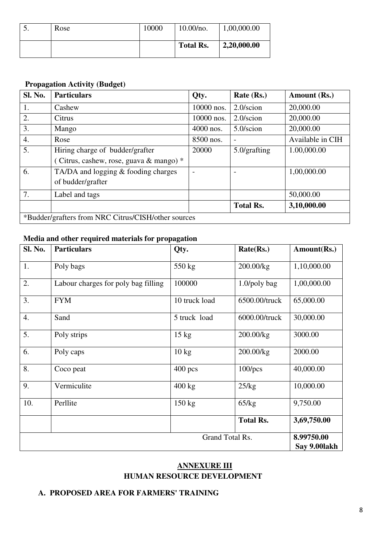| J. | Rose | 10000 | 10.00/no.        | 1,00,000.00 |
|----|------|-------|------------------|-------------|
|    |      |       | <b>Total Rs.</b> | 2,20,000.00 |

## **Propagation Activity (Budget)**

| <b>Sl. No.</b> | <b>Particulars</b>                                  | Qty.                     | Rate (Rs.)               | Amount (Rs.)     |
|----------------|-----------------------------------------------------|--------------------------|--------------------------|------------------|
| 1.             | Cashew                                              | 10000 nos.               | $2.0/\text{scion}$       | 20,000.00        |
| 2.             | Citrus                                              | 10000 nos.               | $2.0/\text{scion}$       | 20,000.00        |
| 3.             | Mango                                               | 4000 nos.                | 5.0/scion                | 20,000.00        |
| 4.             | Rose                                                | 8500 nos.                | $\overline{\phantom{0}}$ | Available in CIH |
| 5.             | Hiring charge of budder/grafter                     | 20000                    | $5.0$ /grafting          | 1.00,000.00      |
|                | (Citrus, cashew, rose, guava & mango) $*$           |                          |                          |                  |
| 6.             | TA/DA and logging & fooding charges                 | $\overline{\phantom{0}}$ |                          | 1,00,000.00      |
|                | of budder/grafter                                   |                          |                          |                  |
| 7.             | Label and tags                                      |                          |                          | 50,000.00        |
|                |                                                     |                          | <b>Total Rs.</b>         | 3,10,000.00      |
|                | *Budder/grafters from NRC Citrus/CISH/other sources |                          |                          |                  |

#### **Media and other required materials for propagation**

| <b>Sl. No.</b>  | <b>Particulars</b>                  | Qty.             | Rate(Rs.)        | Amount(Rs.)                |
|-----------------|-------------------------------------|------------------|------------------|----------------------------|
| 1.              | Poly bags                           | 550 kg           | 200.00/kg        | 1,10,000.00                |
| 2.              | Labour charges for poly bag filling | 100000           | $1.0$ /poly bag  | 1,00,000.00                |
| 3.              | <b>FYM</b>                          | 10 truck load    | 6500.00/truck    | 65,000.00                  |
| 4.              | Sand                                | 5 truck load     | 6000.00/truck    | 30,000.00                  |
| 5.              | Poly strips                         | $15 \text{ kg}$  | 200.00/kg        | 3000.00                    |
| 6.              | Poly caps                           | $10 \text{ kg}$  | 200.00/kg        | 2000.00                    |
| 8.              | Coco peat                           | $400$ pcs        | $100$ /pcs       | 40,000.00                  |
| 9.              | Vermiculite                         | $400 \text{ kg}$ | 25/kg            | 10,000.00                  |
| 10.             | Perllite                            | $150 \text{ kg}$ | 65/kg            | 9,750.00                   |
|                 |                                     |                  | <b>Total Rs.</b> | 3,69,750.00                |
| Grand Total Rs. |                                     |                  |                  | 8.99750.00<br>Say 9.00lakh |

## **ANNEXURE III HUMAN RESOURCE DEVELOPMENT**

#### **A. PROPOSED AREA FOR FARMERS' TRAINING**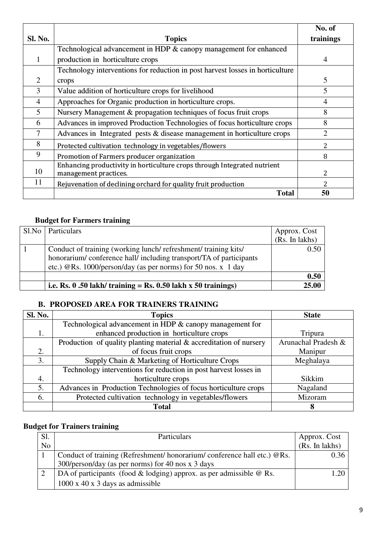|                |                                                                                                   | No. of                        |
|----------------|---------------------------------------------------------------------------------------------------|-------------------------------|
| <b>Sl. No.</b> | <b>Topics</b>                                                                                     | trainings                     |
|                | Technological advancement in HDP & canopy management for enhanced                                 |                               |
|                | production in horticulture crops                                                                  | 4                             |
|                | Technology interventions for reduction in post harvest losses in horticulture                     |                               |
| 2              | crops                                                                                             | 5                             |
| 3              | Value addition of horticulture crops for livelihood                                               | 5                             |
| $\overline{4}$ | Approaches for Organic production in horticulture crops.                                          | 4                             |
| 5              | Nursery Management & propagation techniques of focus fruit crops                                  | 8                             |
| 6              | Advances in improved Production Technologies of focus horticulture crops                          | 8                             |
| 7              | Advances in Integrated pests $&$ disease management in horticulture crops                         | $\mathfrak{D}_{\mathfrak{p}}$ |
| 8              | Protected cultivation technology in vegetables/flowers                                            | 2                             |
| 9              | Promotion of Farmers producer organization                                                        | 8                             |
| 10             | Enhancing productivity in horticulture crops through Integrated nutrient<br>management practices. | 2                             |
| 11             | Rejuvenation of declining orchard for quality fruit production                                    | 2                             |
|                | <b>Total</b>                                                                                      | 50                            |

# **Budget for Farmers training**

| Sl.No   Particulars                                               | Approx. Cost   |
|-------------------------------------------------------------------|----------------|
|                                                                   | (Rs. In lakhs) |
| Conduct of training (working lunch/refreshment/training kits/     | 0.50           |
| honorarium/conference hall/including transport/TA of participants |                |
| etc.) @Rs. 1000/person/day (as per norms) for 50 nos. $x$ 1 day   |                |
|                                                                   | 0.50           |
| i.e. Rs. $0.50$ lakh/ training = Rs. 0.50 lakh x 50 trainings)    | 25.00          |

## **B. PROPOSED AREA FOR TRAINERS TRAINING**

| Sl. No. | <b>Topics</b>                                                      | <b>State</b>        |
|---------|--------------------------------------------------------------------|---------------------|
|         | Technological advancement in HDP & canopy management for           |                     |
| 1.      | enhanced production in horticulture crops                          | Tripura             |
|         | Production of quality planting material & accreditation of nursery | Arunachal Pradesh & |
| 2.      | of focus fruit crops                                               | Manipur             |
| 3.      | Supply Chain & Marketing of Horticulture Crops                     | Meghalaya           |
|         | Technology interventions for reduction in post harvest losses in   |                     |
| 4.      | horticulture crops                                                 | Sikkim              |
| 5.      | Advances in Production Technologies of focus horticulture crops    | Nagaland            |
| 6.      | Protected cultivation technology in vegetables/flowers             | Mizoram             |
|         | <b>Total</b>                                                       | 8                   |

# **Budget for Trainers training**

| Sl. | <b>Particulars</b>                                                         | Approx. Cost   |
|-----|----------------------------------------------------------------------------|----------------|
| No  |                                                                            | (Rs. In lakhs) |
|     | Conduct of training (Refreshment/ honorarium/ conference hall etc.) @Rs.   | 0.36           |
|     | 300/person/day (as per norms) for 40 nos x 3 days                          |                |
|     | DA of participants (food $&$ lodging) approx. as per admissible $& \&$ Rs. | 1 20           |
|     | $1000 \times 40 \times 3$ days as admissible                               |                |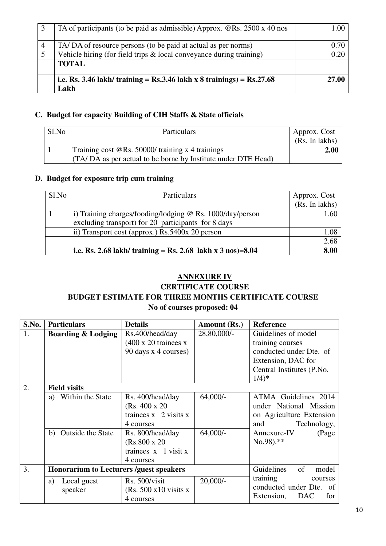| TA of participants (to be paid as admissible) Approx. $QRs$ . 2500 x 40 nos | L.OO  |
|-----------------------------------------------------------------------------|-------|
| TA/DA of resource persons (to be paid at actual as per norms)               | 0.70  |
| Vehicle hiring (for field trips $\&$ local conveyance during training)      | 0.20  |
| <b>TOTAL</b>                                                                |       |
|                                                                             |       |
| i.e. Rs. 3.46 lakh/ training = Rs.3.46 lakh x 8 trainings) = $Rs.27.68$     | 27.00 |
| Lakh                                                                        |       |

## **C. Budget for capacity Building of CIH Staffs & State officials**

| Sl.No | Particulars                                                                                                          | Approx. Cost<br>(Rs. In lakhs) |
|-------|----------------------------------------------------------------------------------------------------------------------|--------------------------------|
|       | Training cost $@$ Rs. 50000/ training x 4 trainings<br>(TA/DA as per actual to be borne by Institute under DTE Head) | 2.00                           |

#### **D. Budget for exposure trip cum training**

| Sl.No | <b>Particulars</b>                                                    | Approx. Cost   |
|-------|-----------------------------------------------------------------------|----------------|
|       |                                                                       | (Rs. In lakhs) |
|       | i) Training charges/fooding/lodging $@$ Rs. 1000/day/person           | 1.60           |
|       | excluding transport) for 20 participants for 8 days                   |                |
|       | ii) Transport cost (approx.) Rs.5400x 20 person                       | 1.08           |
|       |                                                                       | 2.68           |
|       | i.e. Rs. 2.68 lakh/ training = Rs. 2.68 lakh x $3 \text{ nos}$ = 8.04 | 8.00           |

## **ANNEXURE IV**

## **CERTIFICATE COURSE BUDGET ESTIMATE FOR THREE MONTHS CERTIFICATE COURSE No of courses proposed: 04**

| S.No. | <b>Particulars</b>                                       | <b>Details</b>                                                                                      | Amount (Rs.)             | <b>Reference</b>                                                                                                                            |
|-------|----------------------------------------------------------|-----------------------------------------------------------------------------------------------------|--------------------------|---------------------------------------------------------------------------------------------------------------------------------------------|
| 1.    | <b>Boarding &amp; Lodging</b>                            | Rs.400/head/day<br>$(400 \times 20 \text{ trainees x})$<br>90 days x 4 courses)                     | 28,80,000/-              | Guidelines of model<br>training courses<br>conducted under Dte. of<br>Extension, DAC for<br>Central Institutes (P.No.<br>$1/4$ <sup>*</sup> |
| 2.    | <b>Field visits</b>                                      |                                                                                                     |                          |                                                                                                                                             |
|       | Within the State<br>a)<br><b>Outside the State</b><br>b) | Rs. 400/head/day<br>(Rs. 400 x 20)<br>trainees $x \, 2$ visits $x$<br>4 courses<br>Rs. 800/head/day | $64,000/-$<br>$64,000/-$ | ATMA Guidelines 2014<br>under National Mission<br>on Agriculture Extension<br>Technology,<br>and<br>Annexure-IV<br>(Page                    |
|       |                                                          | $(Rs.800 \times 20)$<br>trainees $x \in I$ visit x<br>4 courses                                     |                          | $No.98$ ).**                                                                                                                                |
| 3.    | <b>Honorarium to Lecturers /guest speakers</b>           |                                                                                                     |                          | Guidelines<br>of<br>model                                                                                                                   |
|       | Local guest<br>a)<br>speaker                             | Rs. 500/visit<br>$(Rs. 500 x10 \text{ visits } x)$<br>4 courses                                     | $20,000/-$               | training<br>courses<br>conducted under Dte. of<br>Extension,<br>DAC<br>for                                                                  |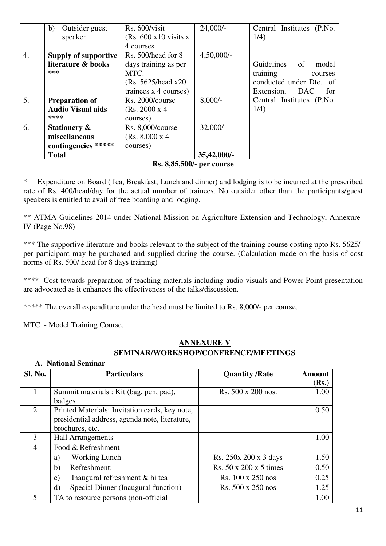|    | b)<br>Outsider guest        | Rs. 600/visit                    | $24,000/-$    | Central Institutes (P.No. |
|----|-----------------------------|----------------------------------|---------------|---------------------------|
|    | speaker                     | $(Rs. 600 x10 \text{ visits } x$ |               | 1/4)                      |
|    |                             | 4 courses                        |               |                           |
| 4. | <b>Supply of supportive</b> | Rs. 500/head for 8               | $4,50,000/$ - |                           |
|    | literature & books          | days training as per             |               | Guidelines of<br>model    |
|    | ***                         | MTC.                             |               | training<br>courses       |
|    |                             | (Rs. 5625/head x20)              |               | conducted under Dte. of   |
|    |                             | trainees x 4 courses)            |               | DAC<br>for<br>Extension,  |
| 5. | <b>Preparation of</b>       | Rs. 2000/course                  | $8,000/-$     | Central Institutes (P.No. |
|    | <b>Audio Visual aids</b>    | (Rs. 2000 x 4)                   |               | 1/4)                      |
|    | ****                        | courses)                         |               |                           |
| 6. | <b>Stationery &amp;</b>     | Rs. 8,000/course                 | $32,000/-$    |                           |
|    | miscellaneous               | (Rs. 8,000 x 4)                  |               |                           |
|    | contingencies *****         | courses)                         |               |                           |
|    | <b>Total</b>                |                                  | 35,42,000/-   |                           |

#### **Rs. 8,85,500/- per course**

\* Expenditure on Board (Tea, Breakfast, Lunch and dinner) and lodging is to be incurred at the prescribed rate of Rs. 400/head/day for the actual number of trainees. No outsider other than the participants/guest speakers is entitled to avail of free boarding and lodging.

\*\* ATMA Guidelines 2014 under National Mission on Agriculture Extension and Technology, Annexure-IV (Page No.98)

\*\*\* The supportive literature and books relevant to the subject of the training course costing upto Rs. 5625/per participant may be purchased and supplied during the course. (Calculation made on the basis of cost norms of Rs. 500/ head for 8 days training)

\*\*\*\* Cost towards preparation of teaching materials including audio visuals and Power Point presentation are advocated as it enhances the effectiveness of the talks/discussion.

\*\*\*\*\* The overall expenditure under the head must be limited to Rs. 8,000/- per course.

MTC - Model Training Course.

## **ANNEXURE V SEMINAR/WORKSHOP/CONFRENCE/MEETINGS**

| Sl. No. | <b>Particulars</b>                                | <b>Quantity /Rate</b>  | <b>Amount</b> |
|---------|---------------------------------------------------|------------------------|---------------|
|         |                                                   |                        | (Rs.)         |
|         | Summit materials : Kit (bag, pen, pad),           | Rs. 500 x 200 nos.     | 1.00          |
|         | badges                                            |                        |               |
| 2       | Printed Materials: Invitation cards, key note,    |                        | 0.50          |
|         | presidential address, agenda note, literature,    |                        |               |
|         | brochures, etc.                                   |                        |               |
| 3       | <b>Hall Arrangements</b>                          |                        | 1.00          |
| 4       | Food & Refreshment                                |                        |               |
|         | Working Lunch<br>a)                               | Rs. 250x 200 x 3 days  | 1.50          |
|         | Refreshment:<br>b)                                | Rs. 50 x 200 x 5 times | 0.50          |
|         | Inaugural refreshment & hi tea<br>$\mathcal{C}$ ) | Rs. 100 x 250 nos      | 0.25          |
|         | Special Dinner (Inaugural function)<br>$\rm d$    | Rs. 500 x 250 nos      | 1.25          |
| 5       | TA to resource persons (non-official              |                        | 1.00          |

#### **A. National Seminar**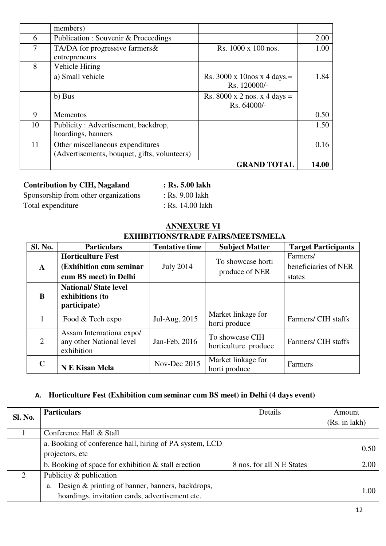|    | members)                                     |                              |       |
|----|----------------------------------------------|------------------------------|-------|
| 6  | Publication : Souvenir & Proceedings         |                              | 2.00  |
| 7  | TA/DA for progressive farmers &              | Rs. 1000 x 100 nos.          | 1.00  |
|    | entrepreneurs                                |                              |       |
| 8  | Vehicle Hiring                               |                              |       |
|    | a) Small vehicle                             | Rs. 3000 x 10nos x 4 days.=  | 1.84  |
|    |                                              | Rs. 120000/-                 |       |
|    | b) Bus                                       | Rs. 8000 x 2 nos. x 4 days = |       |
|    |                                              | Rs. 64000/-                  |       |
| 9  | <b>Mementos</b>                              |                              | 0.50  |
| 10 | Publicity: Advertisement, backdrop,          |                              | 1.50  |
|    | hoardings, banners                           |                              |       |
| 11 | Other miscellaneous expenditures             |                              | 0.16  |
|    | (Advertisements, bouquet, gifts, volunteers) |                              |       |
|    |                                              | <b>GRAND TOTAL</b>           | 14.00 |

## **Contribution by CIH, Nagaland : Rs. 5.00 lakh**

Sponsorship from other organizations : Rs. 9.00 lakh Total expenditure : Rs. 14.00 lakh

#### **ANNEXURE VI EXHIBITIONS/TRADE FAIRS/MEETS/MELA**

| Sl. No.        | <b>Particulars</b>                                                            | <b>Tentative time</b> | <b>Subject Matter</b>                   | <b>Target Participants</b>                 |
|----------------|-------------------------------------------------------------------------------|-----------------------|-----------------------------------------|--------------------------------------------|
| $\mathbf{A}$   | <b>Horticulture Fest</b><br>(Exhibition cum seminar)<br>cum BS meet) in Delhi | <b>July 2014</b>      | To showcase horti<br>produce of NER     | Farmers/<br>beneficiaries of NER<br>states |
| B              | <b>National/State level</b><br>exhibitions (to<br>participate)                |                       |                                         |                                            |
|                | Food & Tech expo                                                              | Jul-Aug, 2015         | Market linkage for<br>horti produce     | Farmers/ CIH staffs                        |
| $\overline{2}$ | Assam Internationa expo/<br>any other National level<br>exhibition            | Jan-Feb, 2016         | To showcase CIH<br>horticulture produce | Farmers/ CIH staffs                        |
| $\mathbf C$    | <b>N E Kisan Mela</b>                                                         | Nov-Dec 2015          | Market linkage for<br>horti produce     | Farmers                                    |

## **A. Horticulture Fest (Exhibition cum seminar cum BS meet) in Delhi (4 days event)**

| Sl. No. | <b>Particulars</b>                                                                                        | Details                   | Amount<br>(Rs. in 1akh) |
|---------|-----------------------------------------------------------------------------------------------------------|---------------------------|-------------------------|
|         | Conference Hall & Stall                                                                                   |                           |                         |
|         | a. Booking of conference hall, hiring of PA system, LCD<br>projectors, etc                                |                           | 0.50                    |
|         | b. Booking of space for exhibition $\&$ stall erection                                                    | 8 nos. for all N E States | 2.00                    |
| 2       | Publicity & publication                                                                                   |                           |                         |
|         | Design & printing of banner, banners, backdrops,<br>a.<br>hoardings, invitation cards, advertisement etc. |                           | 1.00                    |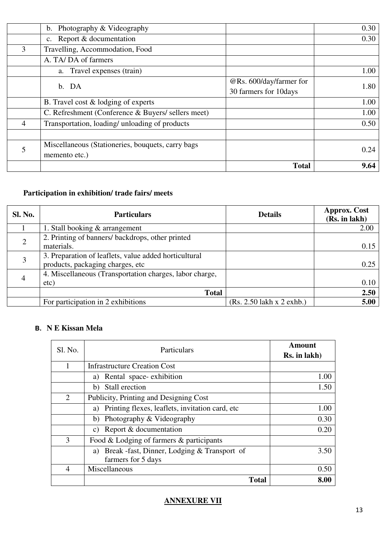|   | Photography & Videography<br>$\mathbf{b}$ .        |                         | 0.30 |
|---|----------------------------------------------------|-------------------------|------|
|   | c. Report & documentation                          |                         | 0.30 |
| 3 | Travelling, Accommodation, Food                    |                         |      |
|   | A. TA/DA of farmers                                |                         |      |
|   | a. Travel expenses (train)                         |                         | 1.00 |
|   | b. DA                                              | @Rs. 600/day/farmer for | 1.80 |
|   |                                                    | 30 farmers for 10days   |      |
|   | B. Travel cost & lodging of experts                |                         | 1.00 |
|   | C. Refreshment (Conference & Buyers/ sellers meet) |                         | 1.00 |
| 4 | Transportation, loading/ unloading of products     |                         | 0.50 |
|   |                                                    |                         |      |
| 5 | Miscellaneous (Stationeries, bouquets, carry bags  |                         | 0.24 |
|   | memento etc.)                                      |                         |      |
|   |                                                    | <b>Total</b>            | 9.64 |

# **Participation in exhibition/ trade fairs/ meets**

| <b>Sl. No.</b> | <b>Particulars</b>                                      | <b>Details</b>              | <b>Approx.</b> Cost<br>(Rs. in lakh) |
|----------------|---------------------------------------------------------|-----------------------------|--------------------------------------|
|                | 1. Stall booking & arrangement                          |                             | 2.00                                 |
| $\overline{2}$ | 2. Printing of banners/ backdrops, other printed        |                             |                                      |
|                | materials.                                              |                             | 0.15                                 |
| 3              | 3. Preparation of leaflets, value added horticultural   |                             |                                      |
|                | products, packaging charges, etc                        |                             | 0.25                                 |
| 4              | 4. Miscellaneous (Transportation charges, labor charge, |                             |                                      |
|                | etc)                                                    |                             | 0.10                                 |
|                | <b>Total</b>                                            |                             | 2.50                                 |
|                | For participation in 2 exhibitions                      | $(Rs. 2.50$ lakh x 2 exhb.) | 5.00                                 |

## **B. N E Kissan Mela**

| Sl. No. | Particulars                                                             | Amount<br>Rs. in lakh) |
|---------|-------------------------------------------------------------------------|------------------------|
|         | <b>Infrastructure Creation Cost</b>                                     |                        |
|         | Rental space-exhibition<br>a)                                           | 1.00                   |
|         | Stall erection<br>b)                                                    | 1.50                   |
| 2       | Publicity, Printing and Designing Cost                                  |                        |
|         | Printing flexes, leaflets, invitation card, etc.<br>a)                  | 1.00                   |
|         | Photography & Videography<br>b)                                         | 0.30                   |
|         | Report & documentation<br>C)                                            | 0.20                   |
| 3       | Food & Lodging of farmers & participants                                |                        |
|         | Break -fast, Dinner, Lodging & Transport of<br>a)<br>farmers for 5 days | 3.50                   |
| 4       | Miscellaneous                                                           | 0.50                   |
|         | <b>Total</b>                                                            | 8.00                   |

## **ANNEXURE VII**